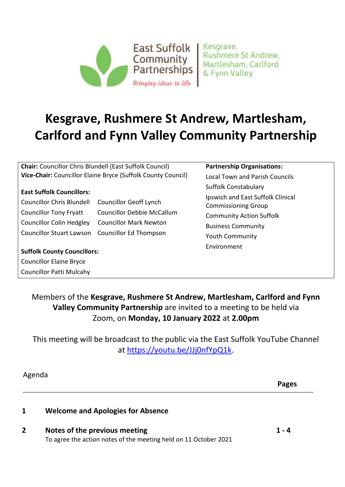

Kesgrave, **Rushmere St Andrew.** Martlesham, Carlford & Fynn Valley

# **Kesgrave, Rushmere St Andrew, Martlesham, Carlford and Fynn Valley Community Partnership**

**Chair:** Councillor Chris Blundell (East Suffolk Council) **Vice-Chair:** Councillor Elaine Bryce (Suffolk County Council)

#### **East Suffolk Councillors:**

| Councillor Chris Blundell Councillor Geoff Lynch |                                   |
|--------------------------------------------------|-----------------------------------|
| <b>Councillor Tony Fryatt</b>                    | <b>Councillor Debbie McCallum</b> |
| Councillor Colin Hedgley Councillor Mark Newton  |                                   |
| Councillor Stuart Lawson Councillor Ed Thompson  |                                   |

**Suffolk County Councillors:**  Councillor Elaine Bryce Councillor Patti Mulcahy

**Partnership Organisations:** 

Local Town and Parish Councils Suffolk Constabulary Ipswich and East Suffolk Clinical Commissioning Group Community Action Suffolk Business Community Youth Community Environment

### Members of the **Kesgrave, Rushmere St Andrew, Martlesham, Carlford and Fynn Valley Community Partnership** are invited to a meeting to be held via Zoom, on **Monday, 10 January 2022** at **2.00pm**

This meeting will be broadcast to the public via the East Suffolk YouTube Channel at [https://youtu.be/JJj0nfYpQ1k.](https://youtu.be/JJj0nfYpQ1k)

Agenda

**Pages** 

#### **1 Welcome and Apologies for Absence**

## **2 Notes of the previous meeting**

To agree the action notes of the meeting held on 11 October 2021

**1 - 4**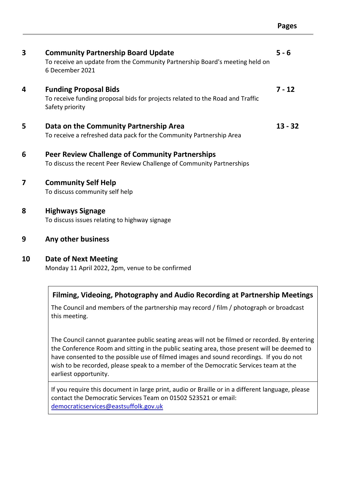| <b>Community Partnership Board Update</b><br>To receive an update from the Community Partnership Board's meeting held on<br>6 December 2021 | $5 - 6$   |
|---------------------------------------------------------------------------------------------------------------------------------------------|-----------|
| <b>Funding Proposal Bids</b><br>To receive funding proposal bids for projects related to the Road and Traffic<br>Safety priority            | $7 - 12$  |
| Data on the Community Partnership Area<br>To receive a refreshed data pack for the Community Partnership Area                               | $13 - 32$ |
| <b>Peer Review Challenge of Community Partnerships</b><br>To discuss the recent Peer Review Challenge of Community Partnerships             |           |
| <b>Community Self Help</b><br>To discuss community self help                                                                                |           |
| <b>Highways Signage</b><br>To discuss issues relating to highway signage                                                                    |           |
| Any other business                                                                                                                          |           |
| <b>Date of Next Meeting</b><br>Monday 11 April 2022, 2pm, venue to be confirmed                                                             |           |
|                                                                                                                                             |           |

#### **Filming, Videoing, Photography and Audio Recording at Partnership Meetings**

The Council and members of the partnership may record / film / photograph or broadcast this meeting.

The Council cannot guarantee public seating areas will not be filmed or recorded. By entering the Conference Room and sitting in the public seating area, those present will be deemed to have consented to the possible use of filmed images and sound recordings. If you do not wish to be recorded, please speak to a member of the Democratic Services team at the earliest opportunity.

If you require this document in large print, audio or Braille or in a different language, please contact the Democratic Services Team on 01502 523521 or email: [democraticservices@eastsuffolk.gov.uk](mailto:democraticservices@eastsuffolk.gov.uk)